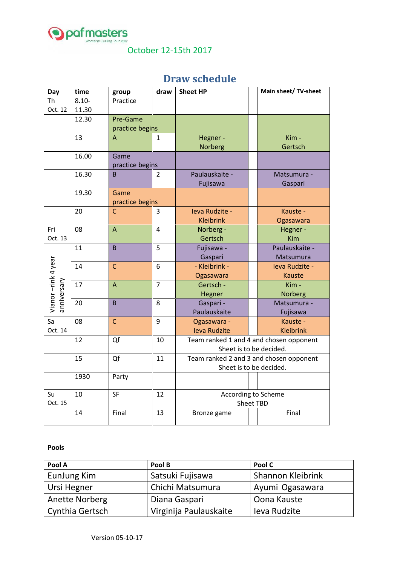

October 12-15th 2017

## **Draw schedule**

| Day                               | time           | group                       | draw                                    | <b>Sheet HP</b>                         |  | Main sheet/ TV-sheet |  |
|-----------------------------------|----------------|-----------------------------|-----------------------------------------|-----------------------------------------|--|----------------------|--|
| <b>Th</b>                         | $8.10 -$       | Practice                    |                                         |                                         |  |                      |  |
| Oct. 12                           | 11.30          |                             |                                         |                                         |  |                      |  |
|                                   | 12.30          | Pre-Game<br>practice begins |                                         |                                         |  |                      |  |
|                                   |                |                             |                                         |                                         |  |                      |  |
|                                   | 13             | A                           | 1                                       | Hegner -                                |  | Kim -                |  |
|                                   |                |                             |                                         | <b>Norberg</b>                          |  | Gertsch              |  |
|                                   | 16.00          | Game                        |                                         |                                         |  |                      |  |
|                                   |                | practice begins             |                                         |                                         |  |                      |  |
|                                   | 16.30          | B                           | 2                                       | Paulauskaite -                          |  | Matsumura -          |  |
|                                   |                |                             |                                         | Fujisawa                                |  | Gaspari              |  |
|                                   | 19.30          | Game                        |                                         |                                         |  |                      |  |
|                                   |                | practice begins             |                                         |                                         |  |                      |  |
|                                   | 20             | $\mathsf{C}$                | $\overline{3}$                          | Ieva Rudzite -                          |  | Kauste -             |  |
|                                   |                |                             |                                         | <b>Kleibrink</b>                        |  | Ogasawara            |  |
| Fri                               | 08             | $\overline{A}$              | $\overline{4}$                          | Norberg -                               |  | Hegner -             |  |
| Oct. 13                           |                |                             |                                         | Gertsch                                 |  | Kim                  |  |
|                                   | 11             | $\overline{B}$              | 5                                       | Fujisawa -                              |  | Paulauskaite -       |  |
| Vianor-rink 4 year<br>anniversary |                |                             |                                         | Gaspari                                 |  | Matsumura            |  |
|                                   | 14             | $\mathsf{C}$                | 6                                       | - Kleibrink -                           |  | Ieva Rudzite -       |  |
|                                   |                |                             |                                         | Ogasawara                               |  | <b>Kauste</b>        |  |
|                                   | 17             | $\overline{A}$              | $\overline{7}$                          | Gertsch -                               |  | Kim -                |  |
|                                   |                |                             |                                         | Hegner                                  |  | Norberg              |  |
|                                   | 20             | B                           | 8                                       | Gaspari -                               |  | Matsumura -          |  |
|                                   |                |                             |                                         | Paulauskaite                            |  | Fujisawa             |  |
| $\overline{sa}$<br>Oct. 14        | 08             | $\mathsf{C}$                | 9                                       | Ogasawara -                             |  | Kauste -             |  |
|                                   |                |                             |                                         | <b>Ieva Rudzite</b>                     |  | <b>Kleibrink</b>     |  |
|                                   | Qf<br>10<br>12 |                             | Team ranked 1 and 4 and chosen opponent |                                         |  |                      |  |
|                                   |                |                             |                                         | Sheet is to be decided.                 |  |                      |  |
|                                   | 15             | Qf<br>11                    |                                         | Team ranked 2 and 3 and chosen opponent |  |                      |  |
|                                   |                |                             |                                         | Sheet is to be decided.                 |  |                      |  |
|                                   | 1930           | Party                       |                                         |                                         |  |                      |  |
| Su                                | 10             | <b>SF</b>                   | 12                                      | According to Scheme                     |  |                      |  |
| Oct. 15                           |                |                             | <b>Sheet TBD</b>                        |                                         |  |                      |  |
|                                   | 14             | Final                       | 13                                      | Bronze game                             |  | Final                |  |
|                                   |                |                             |                                         |                                         |  |                      |  |

## **Pools**

| Pool A          | Pool B                 | Pool C                   |
|-----------------|------------------------|--------------------------|
| EunJung Kim     | Satsuki Fujisawa       | <b>Shannon Kleibrink</b> |
| Ursi Hegner     | Chichi Matsumura       | Ayumi Ogasawara          |
| Anette Norberg  | Diana Gaspari          | Oona Kauste              |
| Cynthia Gertsch | Virginija Paulauskaite | leva Rudzite             |